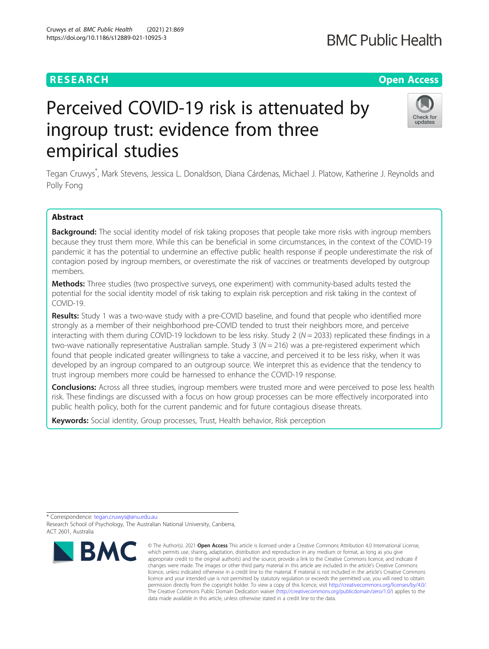# Perceived COVID-19 risk is attenuated by ingroup trust: evidence from three empirical studies

Tegan Cruwys\* , Mark Stevens, Jessica L. Donaldson, Diana Cárdenas, Michael J. Platow, Katherine J. Reynolds and Polly Fong

# Abstract

Background: The social identity model of risk taking proposes that people take more risks with ingroup members because they trust them more. While this can be beneficial in some circumstances, in the context of the COVID-19 pandemic it has the potential to undermine an effective public health response if people underestimate the risk of contagion posed by ingroup members, or overestimate the risk of vaccines or treatments developed by outgroup members.

Methods: Three studies (two prospective surveys, one experiment) with community-based adults tested the potential for the social identity model of risk taking to explain risk perception and risk taking in the context of COVID-19.

**Results:** Study 1 was a two-wave study with a pre-COVID baseline, and found that people who identified more strongly as a member of their neighborhood pre-COVID tended to trust their neighbors more, and perceive interacting with them during COVID-19 lockdown to be less risky. Study 2 ( $N = 2033$ ) replicated these findings in a two-wave nationally representative Australian sample. Study 3 ( $N = 216$ ) was a pre-registered experiment which found that people indicated greater willingness to take a vaccine, and perceived it to be less risky, when it was developed by an ingroup compared to an outgroup source. We interpret this as evidence that the tendency to trust ingroup members more could be harnessed to enhance the COVID-19 response.

**Conclusions:** Across all three studies, ingroup members were trusted more and were perceived to pose less health risk. These findings are discussed with a focus on how group processes can be more effectively incorporated into public health policy, both for the current pandemic and for future contagious disease threats.

Keywords: Social identity, Group processes, Trust, Health behavior, Risk perception

\* Correspondence: [tegan.cruwys@anu.edu.au](mailto:tegan.cruwys@anu.edu.au)

**BMC** 

Research School of Psychology, The Australian National University, Canberra, ACT 2601, Australia







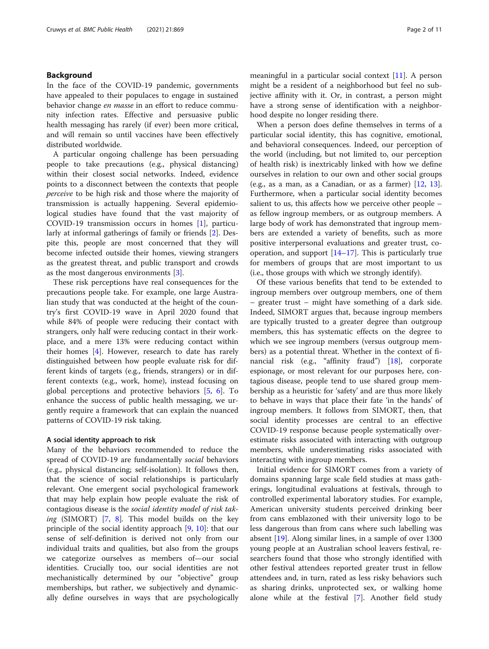# Background

In the face of the COVID-19 pandemic, governments have appealed to their populaces to engage in sustained behavior change *en masse* in an effort to reduce community infection rates. Effective and persuasive public health messaging has rarely (if ever) been more critical, and will remain so until vaccines have been effectively distributed worldwide.

A particular ongoing challenge has been persuading people to take precautions (e.g., physical distancing) within their closest social networks. Indeed, evidence points to a disconnect between the contexts that people perceive to be high risk and those where the majority of transmission is actually happening. Several epidemiological studies have found that the vast majority of COVID-19 transmission occurs in homes [\[1\]](#page-9-0), particularly at informal gatherings of family or friends [\[2\]](#page-9-0). Despite this, people are most concerned that they will become infected outside their homes, viewing strangers as the greatest threat, and public transport and crowds as the most dangerous environments [[3\]](#page-9-0).

These risk perceptions have real consequences for the precautions people take. For example, one large Australian study that was conducted at the height of the country's first COVID-19 wave in April 2020 found that while 84% of people were reducing their contact with strangers, only half were reducing contact in their workplace, and a mere 13% were reducing contact within their homes [[4\]](#page-9-0). However, research to date has rarely distinguished between how people evaluate risk for different kinds of targets (e.g., friends, strangers) or in different contexts (e.g., work, home), instead focusing on global perceptions and protective behaviors  $[5, 6]$  $[5, 6]$  $[5, 6]$  $[5, 6]$ . To enhance the success of public health messaging, we urgently require a framework that can explain the nuanced patterns of COVID-19 risk taking.

# A social identity approach to risk

Many of the behaviors recommended to reduce the spread of COVID-19 are fundamentally *social* behaviors (e.g., physical distancing; self-isolation). It follows then, that the science of social relationships is particularly relevant. One emergent social psychological framework that may help explain how people evaluate the risk of contagious disease is the social identity model of risk taking (SIMORT)  $[7, 8]$  $[7, 8]$  $[7, 8]$  $[7, 8]$  $[7, 8]$ . This model builds on the key principle of the social identity approach [\[9](#page-9-0), [10](#page-9-0)]: that our sense of self-definition is derived not only from our individual traits and qualities, but also from the groups we categorize ourselves as members of—our social identities. Crucially too, our social identities are not mechanistically determined by our "objective" group memberships, but rather, we subjectively and dynamically define ourselves in ways that are psychologically meaningful in a particular social context [\[11](#page-9-0)]. A person might be a resident of a neighborhood but feel no subjective affinity with it. Or, in contrast, a person might have a strong sense of identification with a neighborhood despite no longer residing there.

When a person does define themselves in terms of a particular social identity, this has cognitive, emotional, and behavioral consequences. Indeed, our perception of the world (including, but not limited to, our perception of health risk) is inextricably linked with how we define ourselves in relation to our own and other social groups (e.g., as a man, as a Canadian, or as a farmer)  $[12, 13]$  $[12, 13]$  $[12, 13]$  $[12, 13]$  $[12, 13]$ . Furthermore, when a particular social identity becomes salient to us, this affects how we perceive other people – as fellow ingroup members, or as outgroup members. A large body of work has demonstrated that ingroup members are extended a variety of benefits, such as more positive interpersonal evaluations and greater trust, cooperation, and support  $[14–17]$  $[14–17]$  $[14–17]$ . This is particularly true for members of groups that are most important to us (i.e., those groups with which we strongly identify).

Of these various benefits that tend to be extended to ingroup members over outgroup members, one of them – greater trust – might have something of a dark side. Indeed, SIMORT argues that, because ingroup members are typically trusted to a greater degree than outgroup members, this has systematic effects on the degree to which we see ingroup members (versus outgroup members) as a potential threat. Whether in the context of financial risk (e.g., "affinity fraud") [\[18](#page-9-0)], corporate espionage, or most relevant for our purposes here, contagious disease, people tend to use shared group membership as a heuristic for 'safety' and are thus more likely to behave in ways that place their fate 'in the hands' of ingroup members. It follows from SIMORT, then, that social identity processes are central to an effective COVID-19 response because people systematically overestimate risks associated with interacting with outgroup members, while underestimating risks associated with interacting with ingroup members.

Initial evidence for SIMORT comes from a variety of domains spanning large scale field studies at mass gatherings, longitudinal evaluations at festivals, through to controlled experimental laboratory studies. For example, American university students perceived drinking beer from cans emblazoned with their university logo to be less dangerous than from cans where such labelling was absent [\[19\]](#page-9-0). Along similar lines, in a sample of over 1300 young people at an Australian school leavers festival, researchers found that those who strongly identified with other festival attendees reported greater trust in fellow attendees and, in turn, rated as less risky behaviors such as sharing drinks, unprotected sex, or walking home alone while at the festival [\[7](#page-9-0)]. Another field study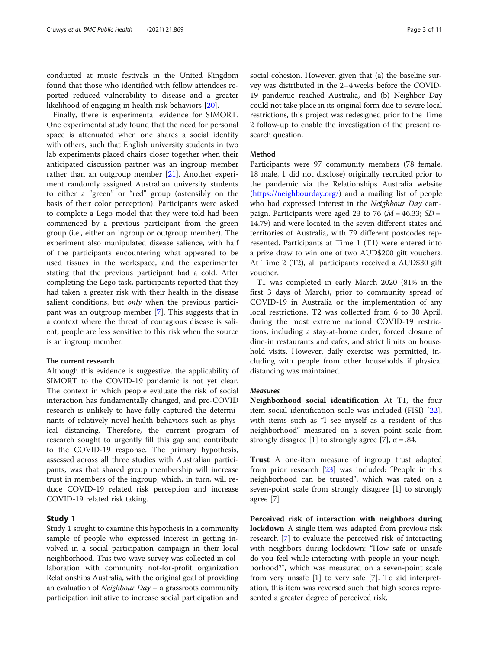conducted at music festivals in the United Kingdom found that those who identified with fellow attendees reported reduced vulnerability to disease and a greater likelihood of engaging in health risk behaviors [[20\]](#page-9-0).

Finally, there is experimental evidence for SIMORT. One experimental study found that the need for personal space is attenuated when one shares a social identity with others, such that English university students in two lab experiments placed chairs closer together when their anticipated discussion partner was an ingroup member rather than an outgroup member [[21](#page-9-0)]. Another experiment randomly assigned Australian university students to either a "green" or "red" group (ostensibly on the basis of their color perception). Participants were asked to complete a Lego model that they were told had been commenced by a previous participant from the green group (i.e., either an ingroup or outgroup member). The experiment also manipulated disease salience, with half of the participants encountering what appeared to be used tissues in the workspace, and the experimenter stating that the previous participant had a cold. After completing the Lego task, participants reported that they had taken a greater risk with their health in the disease salient conditions, but *only* when the previous participant was an outgroup member [\[7](#page-9-0)]. This suggests that in a context where the threat of contagious disease is salient, people are less sensitive to this risk when the source is an ingroup member.

#### The current research

Although this evidence is suggestive, the applicability of SIMORT to the COVID-19 pandemic is not yet clear. The context in which people evaluate the risk of social interaction has fundamentally changed, and pre-COVID research is unlikely to have fully captured the determinants of relatively novel health behaviors such as physical distancing. Therefore, the current program of research sought to urgently fill this gap and contribute to the COVID-19 response. The primary hypothesis, assessed across all three studies with Australian participants, was that shared group membership will increase trust in members of the ingroup, which, in turn, will reduce COVID-19 related risk perception and increase COVID-19 related risk taking.

# Study 1

Study 1 sought to examine this hypothesis in a community sample of people who expressed interest in getting involved in a social participation campaign in their local neighborhood. This two-wave survey was collected in collaboration with community not-for-profit organization Relationships Australia, with the original goal of providing an evaluation of *Neighbour Day –* a grassroots community participation initiative to increase social participation and social cohesion. However, given that (a) the baseline survey was distributed in the 2–4 weeks before the COVID-19 pandemic reached Australia, and (b) Neighbor Day could not take place in its original form due to severe local restrictions, this project was redesigned prior to the Time 2 follow-up to enable the investigation of the present research question.

#### Method

Participants were 97 community members (78 female, 18 male, 1 did not disclose) originally recruited prior to the pandemic via the Relationships Australia website ([https://neighbourday.org/\)](https://neighbourday.org/) and a mailing list of people who had expressed interest in the Neighbour Day campaign. Participants were aged 23 to 76 ( $M = 46.33$ ; SD = 14.79) and were located in the seven different states and territories of Australia, with 79 different postcodes represented. Participants at Time 1 (T1) were entered into a prize draw to win one of two AUD\$200 gift vouchers. At Time 2 (T2), all participants received a AUD\$30 gift voucher.

T1 was completed in early March 2020 (81% in the first 3 days of March), prior to community spread of COVID-19 in Australia or the implementation of any local restrictions. T2 was collected from 6 to 30 April, during the most extreme national COVID-19 restrictions, including a stay-at-home order, forced closure of dine-in restaurants and cafes, and strict limits on household visits. However, daily exercise was permitted, including with people from other households if physical distancing was maintained.

#### Measures

Neighborhood social identification At T1, the four item social identification scale was included (FISI) [\[22](#page-9-0)], with items such as "I see myself as a resident of this neighborhood" measured on a seven point scale from strongly disagree [1] to strongly agree [7],  $\alpha = .84$ .

Trust A one-item measure of ingroup trust adapted from prior research [\[23\]](#page-9-0) was included: "People in this neighborhood can be trusted", which was rated on a seven-point scale from strongly disagree [1] to strongly agree [7].

Perceived risk of interaction with neighbors during **lockdown** A single item was adapted from previous risk research [[7](#page-9-0)] to evaluate the perceived risk of interacting with neighbors during lockdown: "How safe or unsafe do you feel while interacting with people in your neighborhood?", which was measured on a seven-point scale from very unsafe [1] to very safe [7]. To aid interpretation, this item was reversed such that high scores represented a greater degree of perceived risk.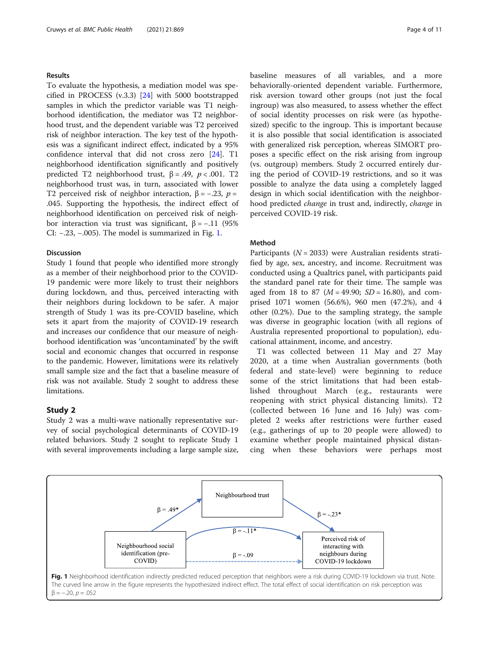# Results

To evaluate the hypothesis, a mediation model was specified in PROCESS (v.3.3) [\[24](#page-9-0)] with 5000 bootstrapped samples in which the predictor variable was T1 neighborhood identification, the mediator was T2 neighborhood trust, and the dependent variable was T2 perceived risk of neighbor interaction. The key test of the hypothesis was a significant indirect effect, indicated by a 95% confidence interval that did not cross zero [[24\]](#page-9-0). T1 neighborhood identification significantly and positively predicted T2 neighborhood trust,  $β = .49$ ,  $p < .001$ . T2 neighborhood trust was, in turn, associated with lower T2 perceived risk of neighbor interaction,  $\beta = -.23$ ,  $p =$ .045. Supporting the hypothesis, the indirect effect of neighborhood identification on perceived risk of neighbor interaction via trust was significant,  $β = -.11$  (95%) CI: −.23, −.005). The model is summarized in Fig. 1.

### Discussion

Study 1 found that people who identified more strongly as a member of their neighborhood prior to the COVID-19 pandemic were more likely to trust their neighbors during lockdown, and thus, perceived interacting with their neighbors during lockdown to be safer. A major strength of Study 1 was its pre-COVID baseline, which sets it apart from the majority of COVID-19 research and increases our confidence that our measure of neighborhood identification was 'uncontaminated' by the swift social and economic changes that occurred in response to the pandemic. However, limitations were its relatively small sample size and the fact that a baseline measure of risk was not available. Study 2 sought to address these limitations.

# Study 2

Study 2 was a multi-wave nationally representative survey of social psychological determinants of COVID-19 related behaviors. Study 2 sought to replicate Study 1 with several improvements including a large sample size,

baseline measures of all variables, and a more behaviorally-oriented dependent variable. Furthermore, risk aversion toward other groups (not just the focal ingroup) was also measured, to assess whether the effect of social identity processes on risk were (as hypothesized) specific to the ingroup. This is important because it is also possible that social identification is associated with generalized risk perception, whereas SIMORT proposes a specific effect on the risk arising from ingroup (vs. outgroup) members. Study 2 occurred entirely during the period of COVID-19 restrictions, and so it was possible to analyze the data using a completely lagged design in which social identification with the neighborhood predicted change in trust and, indirectly, change in perceived COVID-19 risk.

# Method

Participants ( $N = 2033$ ) were Australian residents stratified by age, sex, ancestry, and income. Recruitment was conducted using a Qualtrics panel, with participants paid the standard panel rate for their time. The sample was aged from 18 to 87 ( $M = 49.90$ ;  $SD = 16.80$ ), and comprised 1071 women (56.6%), 960 men (47.2%), and 4 other (0.2%). Due to the sampling strategy, the sample was diverse in geographic location (with all regions of Australia represented proportional to population), educational attainment, income, and ancestry.

T1 was collected between 11 May and 27 May 2020, at a time when Australian governments (both federal and state-level) were beginning to reduce some of the strict limitations that had been established throughout March (e.g., restaurants were reopening with strict physical distancing limits). T2 (collected between 16 June and 16 July) was completed 2 weeks after restrictions were further eased (e.g., gatherings of up to 20 people were allowed) to examine whether people maintained physical distancing when these behaviors were perhaps most

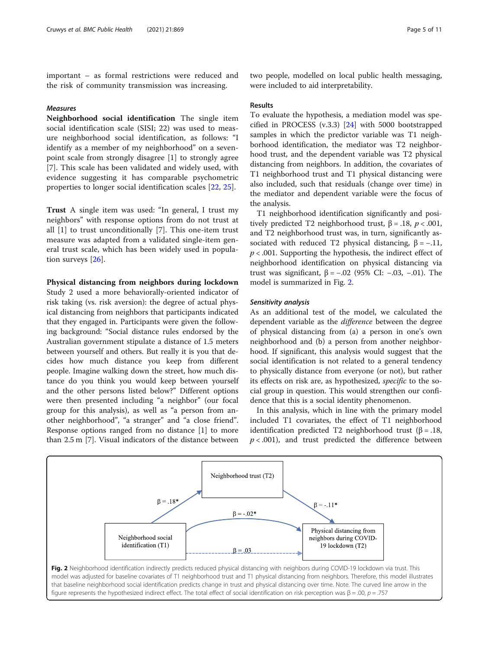important – as formal restrictions were reduced and the risk of community transmission was increasing.

# Measures

Neighborhood social identification The single item social identification scale (SISI; 22) was used to measure neighborhood social identification, as follows: "I identify as a member of my neighborhood" on a sevenpoint scale from strongly disagree [1] to strongly agree [7]. This scale has been validated and widely used, with evidence suggesting it has comparable psychometric properties to longer social identification scales [[22,](#page-9-0) [25\]](#page-9-0).

Trust A single item was used: "In general, I trust my neighbors" with response options from do not trust at all [1] to trust unconditionally [7]. This one-item trust measure was adapted from a validated single-item general trust scale, which has been widely used in population surveys [[26\]](#page-9-0).

# Physical distancing from neighbors during lockdown

Study 2 used a more behaviorally-oriented indicator of risk taking (vs. risk aversion): the degree of actual physical distancing from neighbors that participants indicated that they engaged in. Participants were given the following background: "Social distance rules endorsed by the Australian government stipulate a distance of 1.5 meters between yourself and others. But really it is you that decides how much distance you keep from different people. Imagine walking down the street, how much distance do you think you would keep between yourself and the other persons listed below?" Different options were then presented including "a neighbor" (our focal group for this analysis), as well as "a person from another neighborhood", "a stranger" and "a close friend". Response options ranged from no distance [1] to more than 2.5 m [7]. Visual indicators of the distance between

two people, modelled on local public health messaging, were included to aid interpretability.

#### Results

To evaluate the hypothesis, a mediation model was specified in PROCESS (v.3.3) [[24](#page-9-0)] with 5000 bootstrapped samples in which the predictor variable was T1 neighborhood identification, the mediator was T2 neighborhood trust, and the dependent variable was T2 physical distancing from neighbors. In addition, the covariates of T1 neighborhood trust and T1 physical distancing were also included, such that residuals (change over time) in the mediator and dependent variable were the focus of the analysis.

T1 neighborhood identification significantly and positively predicted T2 neighborhood trust,  $β = .18$ ,  $p < .001$ , and T2 neighborhood trust was, in turn, significantly associated with reduced T2 physical distancing,  $\beta = -.11$ ,  $p < .001$ . Supporting the hypothesis, the indirect effect of neighborhood identification on physical distancing via trust was significant, β = −.02 (95% CI: −.03, −.01). The model is summarized in Fig. 2.

# Sensitivity analysis

As an additional test of the model, we calculated the dependent variable as the *difference* between the degree of physical distancing from (a) a person in one's own neighborhood and (b) a person from another neighborhood. If significant, this analysis would suggest that the social identification is not related to a general tendency to physically distance from everyone (or not), but rather its effects on risk are, as hypothesized, specific to the social group in question. This would strengthen our confidence that this is a social identity phenomenon.

In this analysis, which in line with the primary model included T1 covariates, the effect of T1 neighborhood identification predicted T2 neighborhood trust (β = .18,  $p < .001$ ), and trust predicted the difference between

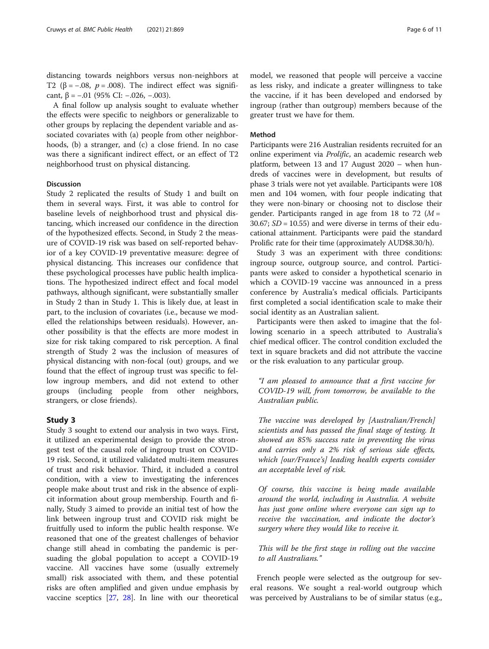distancing towards neighbors versus non-neighbors at T2 ( $\beta$  = -.08,  $p$  = .008). The indirect effect was significant,  $\beta$  = -.01 (95% CI: -.026, -.003).

A final follow up analysis sought to evaluate whether the effects were specific to neighbors or generalizable to other groups by replacing the dependent variable and associated covariates with (a) people from other neighborhoods, (b) a stranger, and (c) a close friend. In no case was there a significant indirect effect, or an effect of T2 neighborhood trust on physical distancing.

# Discussion

Study 2 replicated the results of Study 1 and built on them in several ways. First, it was able to control for baseline levels of neighborhood trust and physical distancing, which increased our confidence in the direction of the hypothesized effects. Second, in Study 2 the measure of COVID-19 risk was based on self-reported behavior of a key COVID-19 preventative measure: degree of physical distancing. This increases our confidence that these psychological processes have public health implications. The hypothesized indirect effect and focal model pathways, although significant, were substantially smaller in Study 2 than in Study 1. This is likely due, at least in part, to the inclusion of covariates (i.e., because we modelled the relationships between residuals). However, another possibility is that the effects are more modest in size for risk taking compared to risk perception. A final strength of Study 2 was the inclusion of measures of physical distancing with non-focal (out) groups, and we found that the effect of ingroup trust was specific to fellow ingroup members, and did not extend to other groups (including people from other neighbors, strangers, or close friends).

# Study 3

Study 3 sought to extend our analysis in two ways. First, it utilized an experimental design to provide the strongest test of the causal role of ingroup trust on COVID-19 risk. Second, it utilized validated multi-item measures of trust and risk behavior. Third, it included a control condition, with a view to investigating the inferences people make about trust and risk in the absence of explicit information about group membership. Fourth and finally, Study 3 aimed to provide an initial test of how the link between ingroup trust and COVID risk might be fruitfully used to inform the public health response. We reasoned that one of the greatest challenges of behavior change still ahead in combating the pandemic is persuading the global population to accept a COVID-19 vaccine. All vaccines have some (usually extremely small) risk associated with them, and these potential risks are often amplified and given undue emphasis by vaccine sceptics [\[27](#page-9-0), [28\]](#page-9-0). In line with our theoretical

model, we reasoned that people will perceive a vaccine as less risky, and indicate a greater willingness to take the vaccine, if it has been developed and endorsed by ingroup (rather than outgroup) members because of the greater trust we have for them.

#### Method

Participants were 216 Australian residents recruited for an online experiment via Prolific, an academic research web platform, between 13 and 17 August 2020 – when hundreds of vaccines were in development, but results of phase 3 trials were not yet available. Participants were 108 men and 104 women, with four people indicating that they were non-binary or choosing not to disclose their gender. Participants ranged in age from 18 to 72  $(M =$ 30.67;  $SD = 10.55$ ) and were diverse in terms of their educational attainment. Participants were paid the standard Prolific rate for their time (approximately AUD\$8.30/h).

Study 3 was an experiment with three conditions: ingroup source, outgroup source, and control. Participants were asked to consider a hypothetical scenario in which a COVID-19 vaccine was announced in a press conference by Australia's medical officials. Participants first completed a social identification scale to make their social identity as an Australian salient.

Participants were then asked to imagine that the following scenario in a speech attributed to Australia's chief medical officer. The control condition excluded the text in square brackets and did not attribute the vaccine or the risk evaluation to any particular group.

"I am pleased to announce that a first vaccine for COVID-19 will, from tomorrow, be available to the Australian public.

The vaccine was developed by [Australian/French] scientists and has passed the final stage of testing. It showed an 85% success rate in preventing the virus and carries only a 2% risk of serious side effects, which [our/France's] leading health experts consider an acceptable level of risk.

Of course, this vaccine is being made available around the world, including in Australia. A website has just gone online where everyone can sign up to receive the vaccination, and indicate the doctor's surgery where they would like to receive it.

This will be the first stage in rolling out the vaccine to all Australians."

French people were selected as the outgroup for several reasons. We sought a real-world outgroup which was perceived by Australians to be of similar status (e.g.,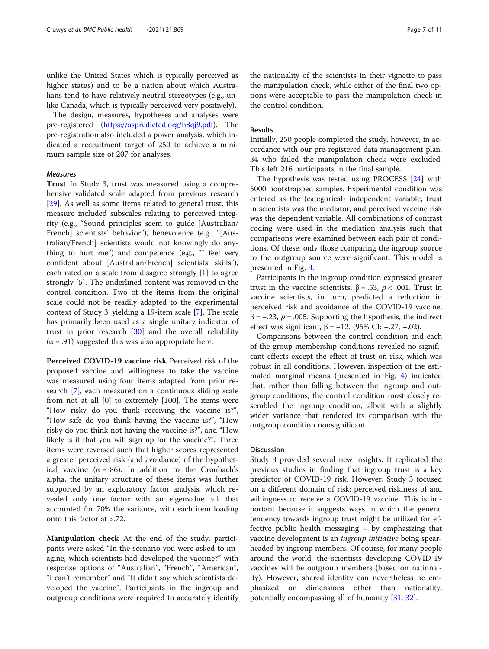unlike the United States which is typically perceived as higher status) and to be a nation about which Australians tend to have relatively neutral stereotypes (e.g., unlike Canada, which is typically perceived very positively).

The design, measures, hypotheses and analyses were pre-registered ([https://aspredicted.org/h8qj9.pdf\)](https://aspredicted.org/h8qj9.pdf). The pre-registration also included a power analysis, which indicated a recruitment target of 250 to achieve a minimum sample size of 207 for analyses.

# Measures

Trust In Study 3, trust was measured using a comprehensive validated scale adapted from previous research [[29\]](#page-10-0). As well as some items related to general trust, this measure included subscales relating to perceived integrity (e.g., "Sound principles seem to guide [Australian/ French] scientists' behavior"), benevolence (e.g., "[Australian/French] scientists would not knowingly do anything to hurt me") and competence (e.g., "I feel very confident about [Australian/French] scientists' skills"), each rated on a scale from disagree strongly [1] to agree strongly [5]. The underlined content was removed in the control condition. Two of the items from the original scale could not be readily adapted to the experimental context of Study 3, yielding a 19-item scale [[7\]](#page-9-0). The scale has primarily been used as a single unitary indicator of trust in prior research [[30\]](#page-10-0) and the overall reliability  $(\alpha = .91)$  suggested this was also appropriate here.

Perceived COVID-19 vaccine risk Perceived risk of the proposed vaccine and willingness to take the vaccine was measured using four items adapted from prior research [[7](#page-9-0)], each measured on a continuous sliding scale from not at all [0] to extremely [100]. The items were "How risky do you think receiving the vaccine is?", "How safe do you think having the vaccine is?", "How risky do you think not having the vaccine is?", and "How likely is it that you will sign up for the vaccine?". Three items were reversed such that higher scores represented a greater perceived risk (and avoidance) of the hypothetical vaccine  $(\alpha = .86)$ . In addition to the Cronbach's alpha, the unitary structure of these items was further supported by an exploratory factor analysis, which revealed only one factor with an eigenvalue  $>1$  that accounted for 70% the variance, with each item loading onto this factor at >.72.

Manipulation check At the end of the study, participants were asked "In the scenario you were asked to imagine, which scientists had developed the vaccine?" with response options of "Australian", "French", "American", "I can't remember" and "It didn't say which scientists developed the vaccine". Participants in the ingroup and outgroup conditions were required to accurately identify the nationality of the scientists in their vignette to pass the manipulation check, while either of the final two options were acceptable to pass the manipulation check in the control condition.

# Results

Initially, 250 people completed the study, however, in accordance with our pre-registered data management plan, 34 who failed the manipulation check were excluded. This left 216 participants in the final sample.

The hypothesis was tested using PROCESS [\[24](#page-9-0)] with 5000 bootstrapped samples. Experimental condition was entered as the (categorical) independent variable, trust in scientists was the mediator, and perceived vaccine risk was the dependent variable. All combinations of contrast coding were used in the mediation analysis such that comparisons were examined between each pair of conditions. Of these, only those comparing the ingroup source to the outgroup source were significant. This model is presented in Fig. [3.](#page-7-0)

Participants in the ingroup condition expressed greater trust in the vaccine scientists,  $β = .53$ ,  $p < .001$ . Trust in vaccine scientists, in turn, predicted a reduction in perceived risk and avoidance of the COVID-19 vaccine,  $β = -.23, p = .005$ . Supporting the hypothesis, the indirect effect was significant,  $β = −12$ . (95% CI: −.27, −.02).

Comparisons between the control condition and each of the group membership conditions revealed no significant effects except the effect of trust on risk, which was robust in all conditions. However, inspection of the estimated marginal means (presented in Fig. [4](#page-7-0)) indicated that, rather than falling between the ingroup and outgroup conditions, the control condition most closely resembled the ingroup condition, albeit with a slightly wider variance that rendered its comparison with the outgroup condition nonsignificant.

#### Discussion

Study 3 provided several new insights. It replicated the previous studies in finding that ingroup trust is a key predictor of COVID-19 risk. However, Study 3 focused on a different domain of risk: perceived riskiness of and willingness to receive a COVID-19 vaccine. This is important because it suggests ways in which the general tendency towards ingroup trust might be utilized for effective public health messaging – by emphasizing that vaccine development is an ingroup initiative being spearheaded by ingroup members. Of course, for many people around the world, the scientists developing COVID-19 vaccines will be outgroup members (based on nationality). However, shared identity can nevertheless be emphasized on dimensions other than nationality, potentially encompassing all of humanity [\[31,](#page-10-0) [32\]](#page-10-0).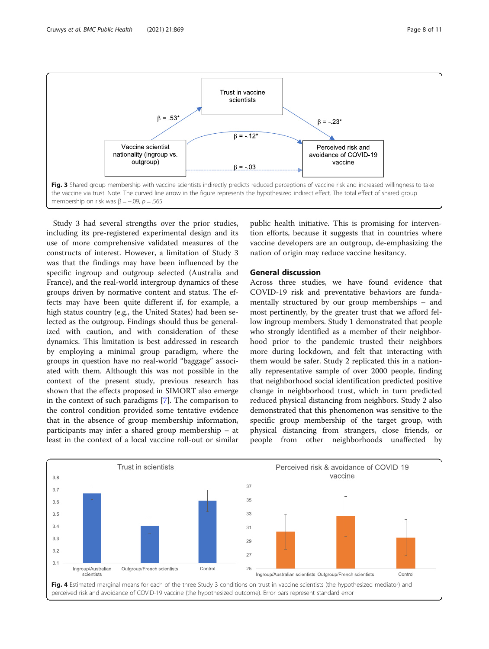<span id="page-7-0"></span>

Study 3 had several strengths over the prior studies, including its pre-registered experimental design and its use of more comprehensive validated measures of the constructs of interest. However, a limitation of Study 3 was that the findings may have been influenced by the specific ingroup and outgroup selected (Australia and France), and the real-world intergroup dynamics of these groups driven by normative content and status. The effects may have been quite different if, for example, a high status country (e.g., the United States) had been selected as the outgroup. Findings should thus be generalized with caution, and with consideration of these dynamics. This limitation is best addressed in research by employing a minimal group paradigm, where the groups in question have no real-world "baggage" associated with them. Although this was not possible in the context of the present study, previous research has shown that the effects proposed in SIMORT also emerge in the context of such paradigms [[7\]](#page-9-0). The comparison to the control condition provided some tentative evidence that in the absence of group membership information, participants may infer a shared group membership – at least in the context of a local vaccine roll-out or similar

public health initiative. This is promising for intervention efforts, because it suggests that in countries where vaccine developers are an outgroup, de-emphasizing the nation of origin may reduce vaccine hesitancy.

# General discussion

Across three studies, we have found evidence that COVID-19 risk and preventative behaviors are fundamentally structured by our group memberships – and most pertinently, by the greater trust that we afford fellow ingroup members. Study 1 demonstrated that people who strongly identified as a member of their neighborhood prior to the pandemic trusted their neighbors more during lockdown, and felt that interacting with them would be safer. Study 2 replicated this in a nationally representative sample of over 2000 people, finding that neighborhood social identification predicted positive change in neighborhood trust, which in turn predicted reduced physical distancing from neighbors. Study 2 also demonstrated that this phenomenon was sensitive to the specific group membership of the target group, with physical distancing from strangers, close friends, or people from other neighborhoods unaffected by

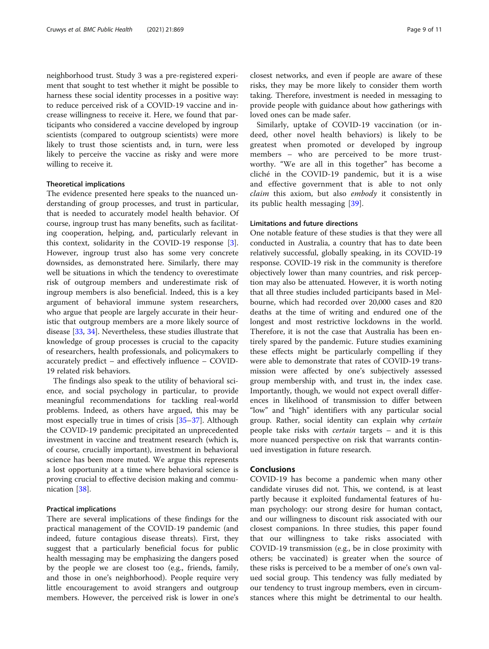neighborhood trust. Study 3 was a pre-registered experiment that sought to test whether it might be possible to harness these social identity processes in a positive way: to reduce perceived risk of a COVID-19 vaccine and increase willingness to receive it. Here, we found that participants who considered a vaccine developed by ingroup scientists (compared to outgroup scientists) were more likely to trust those scientists and, in turn, were less likely to perceive the vaccine as risky and were more willing to receive it.

# Theoretical implications

The evidence presented here speaks to the nuanced understanding of group processes, and trust in particular, that is needed to accurately model health behavior. Of course, ingroup trust has many benefits, such as facilitating cooperation, helping, and, particularly relevant in this context, solidarity in the COVID-19 response [\[3](#page-9-0)]. However, ingroup trust also has some very concrete downsides, as demonstrated here. Similarly, there may well be situations in which the tendency to overestimate risk of outgroup members and underestimate risk of ingroup members is also beneficial. Indeed, this is a key argument of behavioral immune system researchers, who argue that people are largely accurate in their heuristic that outgroup members are a more likely source of disease [\[33](#page-10-0), [34\]](#page-10-0). Nevertheless, these studies illustrate that knowledge of group processes is crucial to the capacity of researchers, health professionals, and policymakers to accurately predict – and effectively influence – COVID-19 related risk behaviors.

The findings also speak to the utility of behavioral science, and social psychology in particular, to provide meaningful recommendations for tackling real-world problems. Indeed, as others have argued, this may be most especially true in times of crisis [[35](#page-10-0)–[37](#page-10-0)]. Although the COVID-19 pandemic precipitated an unprecedented investment in vaccine and treatment research (which is, of course, crucially important), investment in behavioral science has been more muted. We argue this represents a lost opportunity at a time where behavioral science is proving crucial to effective decision making and communication [[38\]](#page-10-0).

# Practical implications

There are several implications of these findings for the practical management of the COVID-19 pandemic (and indeed, future contagious disease threats). First, they suggest that a particularly beneficial focus for public health messaging may be emphasizing the dangers posed by the people we are closest too (e.g., friends, family, and those in one's neighborhood). People require very little encouragement to avoid strangers and outgroup members. However, the perceived risk is lower in one's closest networks, and even if people are aware of these risks, they may be more likely to consider them worth taking. Therefore, investment is needed in messaging to provide people with guidance about how gatherings with loved ones can be made safer.

Similarly, uptake of COVID-19 vaccination (or indeed, other novel health behaviors) is likely to be greatest when promoted or developed by ingroup members – who are perceived to be more trustworthy. "We are all in this together" has become a cliché in the COVID-19 pandemic, but it is a wise and effective government that is able to not only claim this axiom, but also embody it consistently in its public health messaging [[39\]](#page-10-0).

# Limitations and future directions

One notable feature of these studies is that they were all conducted in Australia, a country that has to date been relatively successful, globally speaking, in its COVID-19 response. COVID-19 risk in the community is therefore objectively lower than many countries, and risk perception may also be attenuated. However, it is worth noting that all three studies included participants based in Melbourne, which had recorded over 20,000 cases and 820 deaths at the time of writing and endured one of the longest and most restrictive lockdowns in the world. Therefore, it is not the case that Australia has been entirely spared by the pandemic. Future studies examining these effects might be particularly compelling if they were able to demonstrate that rates of COVID-19 transmission were affected by one's subjectively assessed group membership with, and trust in, the index case. Importantly, though, we would not expect overall differences in likelihood of transmission to differ between "low" and "high" identifiers with any particular social group. Rather, social identity can explain why certain people take risks with certain targets – and it is this more nuanced perspective on risk that warrants continued investigation in future research.

# Conclusions

COVID-19 has become a pandemic when many other candidate viruses did not. This, we contend, is at least partly because it exploited fundamental features of human psychology: our strong desire for human contact, and our willingness to discount risk associated with our closest companions. In three studies, this paper found that our willingness to take risks associated with COVID-19 transmission (e.g., be in close proximity with others; be vaccinated) is greater when the source of these risks is perceived to be a member of one's own valued social group. This tendency was fully mediated by our tendency to trust ingroup members, even in circumstances where this might be detrimental to our health.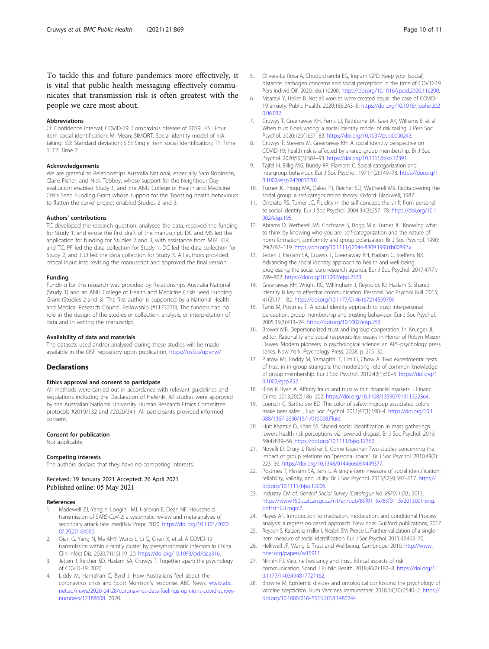<span id="page-9-0"></span>To tackle this and future pandemics more effectively, it is vital that public health messaging effectively communicates that transmission risk is often greatest with the people we care most about.

#### Abbreviations

CI: Confidence interval; COVID-19: Coronavirus disease of 2019; FISI: Four item social identification; M: Mean; SIMORT: Social identity model of risk taking; SD: Standard deviation; SISI: Single item social identification; T1: Time 1; T2: Time 2

#### Acknowledgements

We are grateful to Relationships Australia National, especially Sam Robinson, Claire Fisher, and Nick Tebbey, whose support for the Neighbour Day evaluation enabled Study 1, and the ANU College of Health and Medicine Crisis Seed Funding Grant whose support for the 'Boosting health behaviours to flatten the curve' project enabled Studies 2 and 3.

## Authors' contributions

TC developed the research question, analysed the data, received the funding for Study 1, and wrote the first draft of the manuscript. DC and MS led the application for funding for Studies 2 and 3, with assistance from MJP, KJR, and TC. PF led the data collection for Study 1, DC led the data collection for Study 2, and JLD led the data collection for Study 3. All authors provided critical input into revising the manuscript and approved the final version.

#### Funding

Funding for this research was provided by Relationships Australia National (Study 1) and an ANU College of Health and Medicine Crisis Seed Funding Grant (Studies 2 and 3). The first author is supported by a National Health and Medical Research Council Fellowship (#1173270). The funders had no role in the design of the studies or collection, analysis, or interpretation of data and in writing the manuscript.

#### Availability of data and materials

The datasets used and/or analysed during these studies will be made available in the OSF repository upon publication, [https://osf.io/upvnw/](https://osf.io/yjf4x/)

#### **Declarations**

#### Ethics approval and consent to participate

All methods were carried out in accordance with relevant guidelines and regulations including the Declaration of Helsinki. All studies were approved by the Australian National University Human Research Ethics Committee, protocols #2019/132 and #2020/341. All participants provided informed consent.

#### Consent for publication

Not applicable.

#### Competing interests

The authors declare that they have no competing interests.

#### Received: 19 January 2021 Accepted: 26 April 2021 Published online: 05 May 2021

#### References

- Madewell ZJ, Yang Y, Longini IMJ, Halloran E, Dean NE. Household transmission of SARS-CoV-2: a systematic review and meta-analysis of secondary attack rate. medRxiv Prepr. 2020. [https://doi.org/10.1101/2020.](https://doi.org/10.1101/2020.07.29.20164590) [07.29.20164590](https://doi.org/10.1101/2020.07.29.20164590).
- 2. Qian G, Yang N, Ma AHY, Wang L, Li G, Chen X, et al. A COVID-19 transmission within a family cluster by presymptomatic infectors in China. Clin Infect Dis. 2020;71(15):19–20. [https://doi.org/10.1093/cid/ciaa316.](https://doi.org/10.1093/cid/ciaa316)
- 3. Jetten J, Reicher SD, Haslam SA, Cruwys T. Together apart: the psychology of COVID-19; 2020.
- Liddy M, Hanrahan C, Byrd J. How Australians feel about the coronavirus crisis and Scott Morrison's response. ABC News. [www.abc.](http://www.abc.net.au/news/2020-04-28/coronavirus-data-feelings-opinions-covid-survey-numbers/12188608) [net.au/news/2020-04-28/coronavirus-data-feelings-opinions-covid-survey](http://www.abc.net.au/news/2020-04-28/coronavirus-data-feelings-opinions-covid-survey-numbers/12188608)[numbers/12188608](http://www.abc.net.au/news/2020-04-28/coronavirus-data-feelings-opinions-covid-survey-numbers/12188608). 2020.
- 6. Maaravi Y, Heller B. Not all worries were created equal: the case of COVID-19 anxiety. Public Health. 2020;185:243–5. [https://doi.org/10.1016/j.puhe.202](https://doi.org/10.1016/j.puhe.2020.06.032) [0.06.032.](https://doi.org/10.1016/j.puhe.2020.06.032)
- 7. Cruwys T, Greenaway KH, Ferris LJ, Rathbone JA, Saeri AK, Williams E, et al. When trust Goes wrong: a social identity model of risk taking. J Pers Soc Psychol. 2020;120(1):57–83. <https://doi.org/10.1037/pspi0000243>.
- 8. Cruwys T, Stevens M, Greenaway KH. A social identity perspective on COVID-19: health risk is affected by shared group membership. Br J Soc Psychol. 2020;59(3):584–93. [https://doi.org/10.1111/bjso.12391.](https://doi.org/10.1111/bjso.12391)
- 9. Tajfel H, Billig MG, Bundy RP, Flament C. Social categorization and intergroup behaviour. Eur J Soc Psychol. 1971;1(2):149–78. [https://doi.org/1](https://doi.org/10.1002/ejsp.2420010202) [0.1002/ejsp.2420010202](https://doi.org/10.1002/ejsp.2420010202).
- 10. Turner JC, Hogg MA, Oakes PJ, Reicher SD, Wetherell MS. Rediscovering the social group: a self-categorization theory. Oxford: Blackwell; 1987.
- 11. Onorato RS, Turner JC. Fluidity in the self-concept: the shift from personal to social identity. Eur J Soc Psychol. 2004;34(3):257–78. [https://doi.org/10.1](https://doi.org/10.1002/ejsp.195) [002/ejsp.195](https://doi.org/10.1002/ejsp.195).
- 12. Abrams D, Wetherell MS, Cochrane S, Hogg M a, Turner JC. Knowing what to think by knowing who you are: self-categorization and the nature of norm formation, conformity and group polarization. Br J Soc Psychol. 1990; 29(2):97–119. <https://doi.org/10.1111/j.2044-8309.1990.tb00892.x>.
- 13. Jetten J, Haslam SA, Cruwys T, Greenaway KH, Haslam C, Steffens NK. Advancing the social identity approach to health and well-being: progressing the social cure research agenda. Eur J Soc Psychol. 2017;47(7): 789–802. [https://doi.org/10.1002/ejsp.2333.](https://doi.org/10.1002/ejsp.2333)
- 14. Greenaway KH, Wright RG, Willingham J, Reynolds KJ, Haslam S. Shared identity is key to effective communication. Personal Soc Psychol Bull. 2015; 41(2):171–82. [https://doi.org/10.1177/0146167214559709.](https://doi.org/10.1177/0146167214559709)
- 15. Tanis M, Postmes T. A social identity approach to trust: interpersonal perception, group membership and trusting behaviour. Eur J Soc Psychol. 2005;35(3):413–24. [https://doi.org/10.1002/ejsp.256.](https://doi.org/10.1002/ejsp.256)
- 16. Brewer MB. Depersonalized trust and ingroup cooperation. In: Krueger JI, editor. Rationality and social responsibility: essays in Honor of Robyn Mason Dawes. Modern pioneers in psychological science: an APS-psychology press series. New York: Psychology Press; 2008. p. 215–32.
- 17. Platow MJ, Foddy M, Yamagishi T, Lim LI, Chow A. Two experimental tests of trust in in-group strangers: the moderating role of common knowledge of group membership. Eur J Soc Psychol. 2012;42(1):30–5. [https://doi.org/1](https://doi.org/10.1002/ejsp.852) [0.1002/ejsp.852](https://doi.org/10.1002/ejsp.852).
- 18. Blois K, Ryan A. Affinity fraud and trust within financial markets. J Financ Crime. 2013;20(2):186–202. <https://doi.org/10.1108/13590791311322364>.
- 19. Loersch C, Bartholow BD. The color of safety: Ingroup associated colors make beer safer. J Exp Soc Psychol. 2011;47(1):190–4. [https://doi.org/10.1](https://doi.org/10.1088/1367-2630/15/1/015008.Fluid) [088/1367-2630/15/1/015008.Fluid.](https://doi.org/10.1088/1367-2630/15/1/015008.Fluid)
- 20. Hult Khazaie D, Khan SS. Shared social identification in mass gatherings lowers health risk perceptions via lowered disgust. Br J Soc Psychol. 2019; 59(4):839–56. [https://doi.org/10.1111/bjso.12362.](https://doi.org/10.1111/bjso.12362)
- 21. Novelli D, Drury J, Reicher S. Come together: Two studies concerning the impact of group relations on "personal space". Br J Soc Psychol. 2010;49(2): 223–36. [https://doi.org/10.1348/014466609X449377.](https://doi.org/10.1348/014466609X449377)
- 22. Postmes T, Haslam SA, Jans L. A single-item measure of social identification: reliability, validity, and utility. Br J Soc Psychol. 2013;52(4):597–617. [https://](https://doi.org/10.1111/bjso.12006) [doi.org/10.1111/bjso.12006](https://doi.org/10.1111/bjso.12006).
- 23. Industry CM of. General Social Survey (Catalogue No. 89F0115X).; 2013. [https://www150.statcan.gc.ca/n1/en/pub/89f0115x/89f0115x2013001-eng.](https://www150.statcan.gc.ca/n1/en/pub/89f0115x/89f0115x2013001-eng.pdf?st=GlLmgrc7) [pdf?st=GlLmgrc7](https://www150.statcan.gc.ca/n1/en/pub/89f0115x/89f0115x2013001-eng.pdf?st=GlLmgrc7).
- 24. Hayes AF. Introduction to mediation, moderation, and conditional Process analysis: a regression-based approach. New York: Guilford publications; 2017.
- 25. Reysen S, Katzarska-miller I, Nesbit SM, Pierce L. Further validation of a singleitem measure of social identification. Eur J Soc Psychol. 2013;43:463–70.
- 26. Helliwell JF, Wang S. Trust and Wellbeing. Cambridge; 2010. [http://www.](http://www.nber.org/papers/w15911) [nber.org/papers/w15911](http://www.nber.org/papers/w15911)
- 27. Nihlén FJ. Vaccine hesitancy and trust. Ethical aspects of risk communication. Scand J Public Health. 2018;46(2):182–8. [https://doi.org/1](https://doi.org/10.1177/1403494817727162) [0.1177/1403494817727162](https://doi.org/10.1177/1403494817727162).
- 28. Browne M. Epistemic divides and ontological confusions: the psychology of vaccine scepticism. Hum Vaccines Immunother. 2018;14(10):2540–2. [https://](https://doi.org/10.1080/21645515.2018.1480244) [doi.org/10.1080/21645515.2018.1480244.](https://doi.org/10.1080/21645515.2018.1480244)